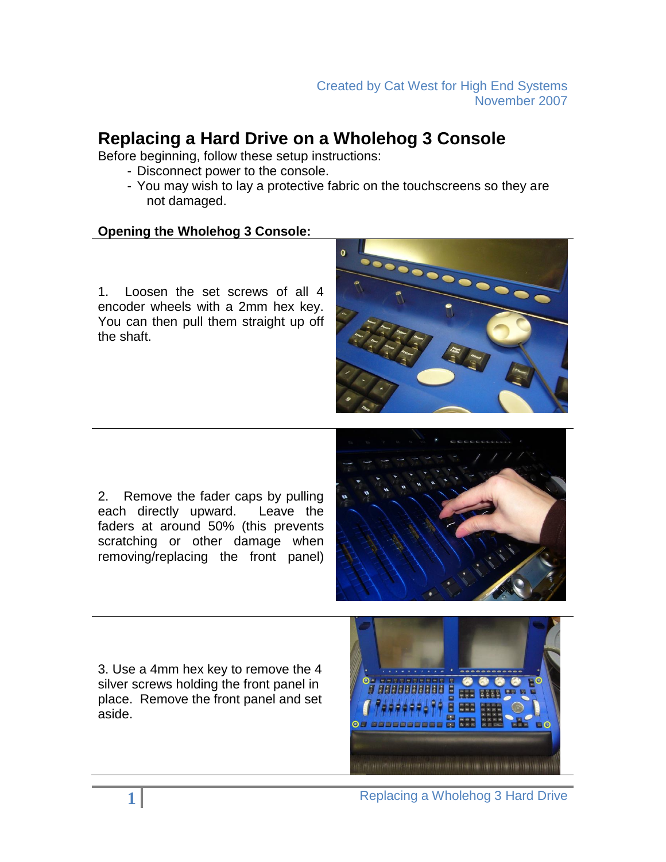# **Replacing a Hard Drive on a Wholehog 3 Console**

Before beginning, follow these setup instructions:

- Disconnect power to the console.
- You may wish to lay a protective fabric on the touchscreens so they are not damaged.

#### **Opening the Wholehog 3 Console:**

1. Loosen the set screws of all 4 encoder wheels with a 2mm hex key. You can then pull them straight up off the shaft.



2. Remove the fader caps by pulling each directly upward. Leave the faders at around 50% (this prevents scratching or other damage when removing/replacing the front panel)



3. Use a 4mm hex key to remove the 4 silver screws holding the front panel in place. Remove the front panel and set aside.

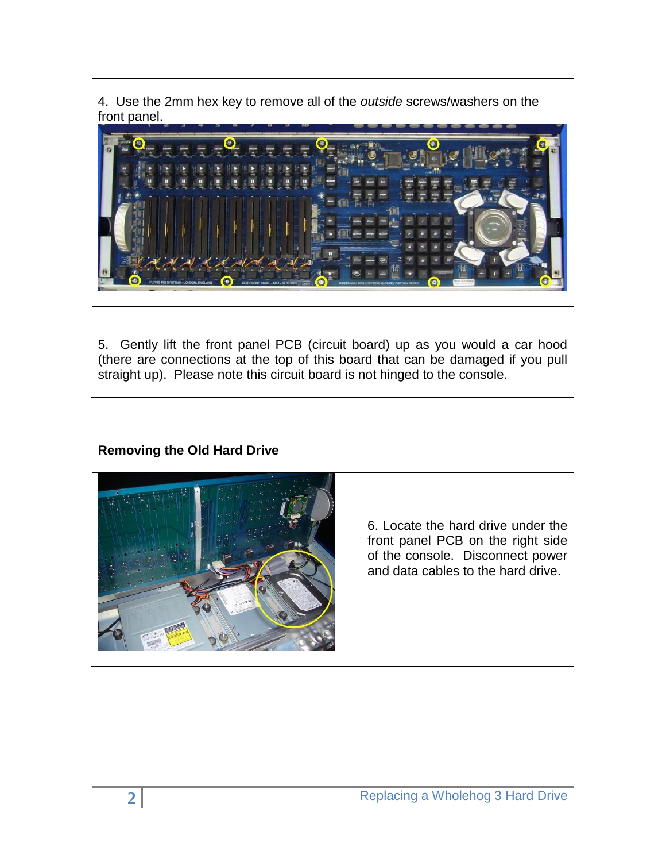4. Use the 2mm hex key to remove all of the *outside* screws/washers on the front panel.



5. Gently lift the front panel PCB (circuit board) up as you would a car hood (there are connections at the top of this board that can be damaged if you pull straight up). Please note this circuit board is not hinged to the console.

## **Removing the Old Hard Drive**



6. Locate the hard drive under the front panel PCB on the right side of the console. Disconnect power and data cables to the hard drive.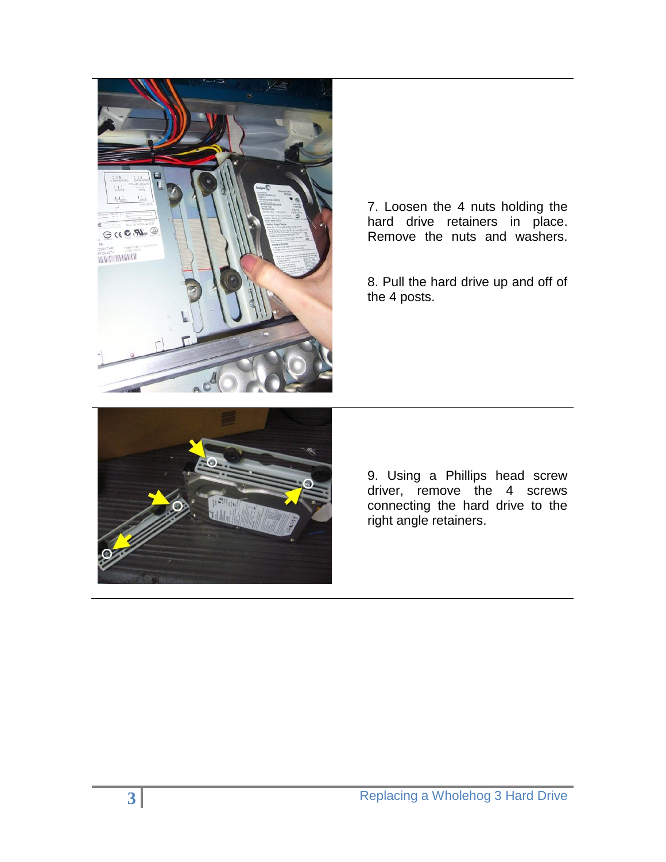

7. Loosen the 4 nuts holding the hard drive retainers in place. Remove the nuts and washers.

8. Pull the hard drive up and off of the 4 posts.



9. Using a Phillips head screw driver, remove the 4 screws connecting the hard drive to the right angle retainers.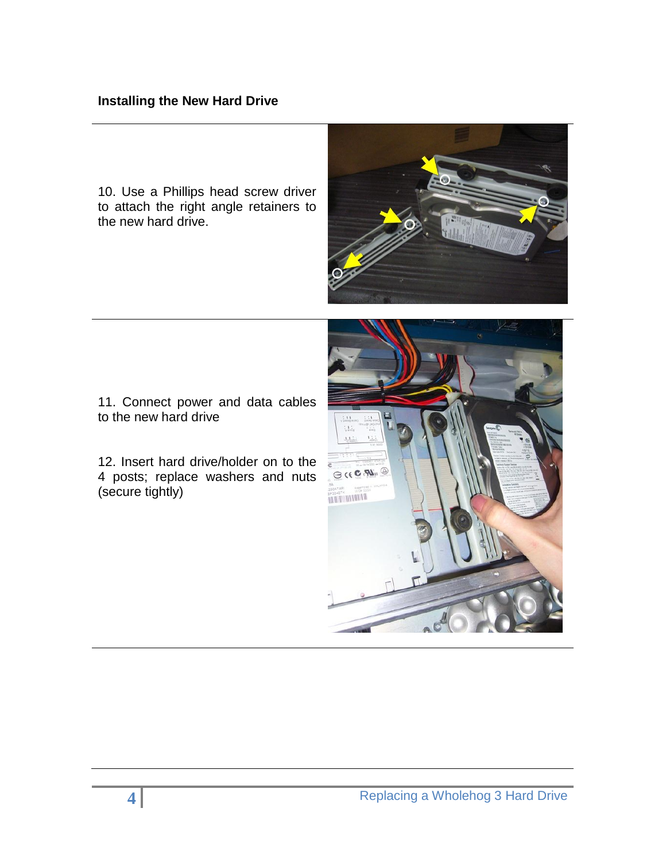#### **Installing the New Hard Drive**

10. Use a Phillips head screw driver to attach the right angle retainers to the new hard drive.



11. Connect power and data cables to the new hard drive

12. Insert hard drive/holder on to the 4 posts; replace washers and nuts (secure tightly)

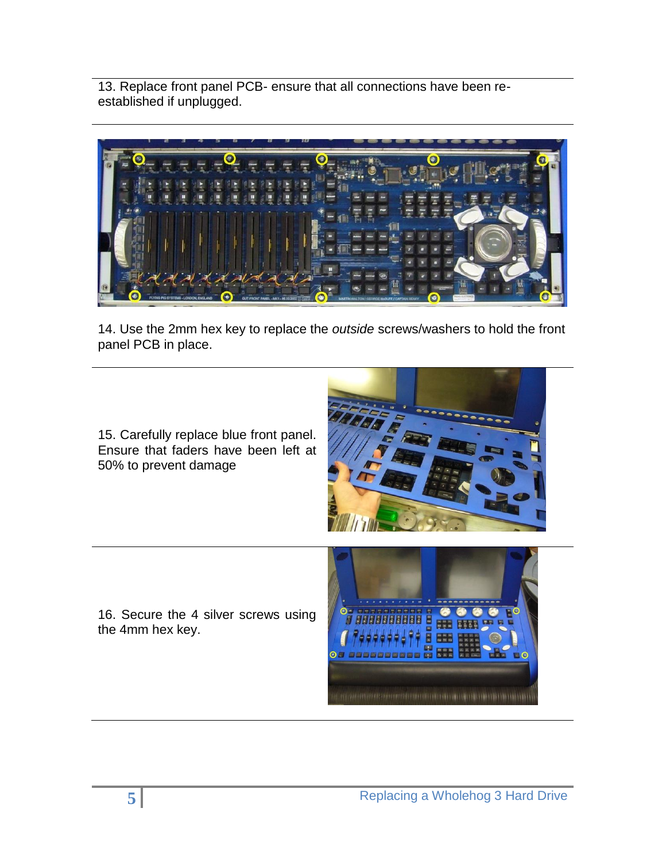13. Replace front panel PCB- ensure that all connections have been reestablished if unplugged.



14. Use the 2mm hex key to replace the *outside* screws/washers to hold the front panel PCB in place.

15. Carefully replace blue front panel. Ensure that faders have been left at 50% to prevent damage



16. Secure the 4 silver screws using the 4mm hex key.